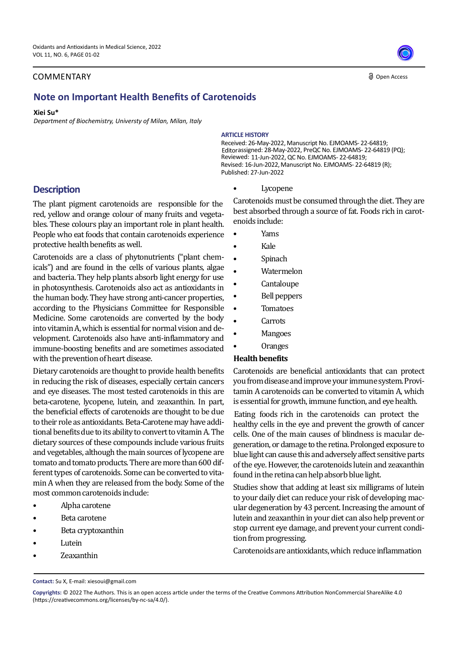### COMMENTARY

#### **d** Open Access

# **Note on Important Health Benefits of Carotenoids**

#### **Xiei Su\***

*Department of Biochemistry, Universty of Milan, Milan, Italy*

#### **ARTICLE HISTORY**

Received: 26-May-2022, Manuscript No. EJMOAMS- 22-64819; Editorassigned: 28-May-2022, PreQC No. EJMOAMS- 22-64819 (PQ); Reviewed: 11-Jun-2022, QC No. EJMOAMS- 22-64819; Revised: 16-Jun-2022, Manuscript No. EJMOAMS- 22-64819 (R); Published: 27-Jun-2022

# **Description**

The plant pigment carotenoids are responsible for the red, yellow and orange colour of many fruits and vegetables. These colours play an important role in plant health. People who eat foods that contain carotenoids experience protective health benefits as well.

Carotenoids are a class of phytonutrients ("plant chemicals") and are found in the cells of various plants, algae and bacteria. They help plants absorb light energy for use in photosynthesis. Carotenoids also act as antioxidants in the human body. They have strong anti-cancer properties, according to the Physicians Committee for Responsible Medicine. Some carotenoids are converted by the body into vitamin A, which is essential for normal vision and development. Carotenoids also have anti-inflammatory and immune-boosting benefits and are sometimes associated with the prevention of heart disease.

Dietary carotenoids are thought to provide health benefits in reducing the risk of diseases, especially certain cancers and eye diseases. The most tested carotenoids in this are beta-carotene, lycopene, lutein, and zeaxanthin. In part, the beneficial effects of carotenoids are thought to be due to their role as antioxidants. Beta-Carotene may have additional benefits due to its ability to convert to vitamin A. The dietary sources of these compounds include various fruits and vegetables, although the main sources of lycopene are tomato and tomato products. There are more than 600 different types of carotenoids. Some can be converted to vitamin A when they are released from the body. Some of the most common carotenoids include:

- Alpha carotene
- Beta carotene
- Beta cryptoxanthin
- **Lutein**
- Zeaxanthin

## **Lycopene**

Carotenoids must be consumed through the diet. They are best absorbed through a source of fat. Foods rich in carotenoids include:

- Yams
- Kale
- **Spinach**
- Watermelon
- **Cantaloupe**
- Bell peppers
- **Tomatoes**
- **Carrots**
- **Mangoes**
- Oranges

### **Health benefits**

Carotenoids are beneficial antioxidants that can protect you from disease and improve your immune system. Provitamin A carotenoids can be converted to vitamin A, which is essential for growth, immune function, and eye health.

healthy cells in the eye and prevent the growth of cancer cells. One of the main causes of blindness is macular degeneration, or damage to the retina. Prolonged exposure to blue light can cause this and adversely affect sensitive parts of the eye. However, the carotenoids lutein and zeaxanthin found in the retina can help absorb blue light. Eating foods rich in the carotenoids can protect the

Studies show that adding at least six milligrams of lutein to your daily diet can reduce your risk of developing macular degeneration by 43 percent. Increasing the amount of lutein and zeaxanthin in your diet can also help prevent or stop current eye damage, and prevent your current condition from progressing.

Carotenoids are antioxidants, which reduce inflammation

**Contact:** Su X, E-mail: xiesoui@gmail.com

**Copyrights:** © 2022 The Authors. This is an open access article under the terms of the Creative Commons Attribution NonCommercial ShareAlike 4.0 (https://creativecommons.org/licenses/by-nc-sa/4.0/).